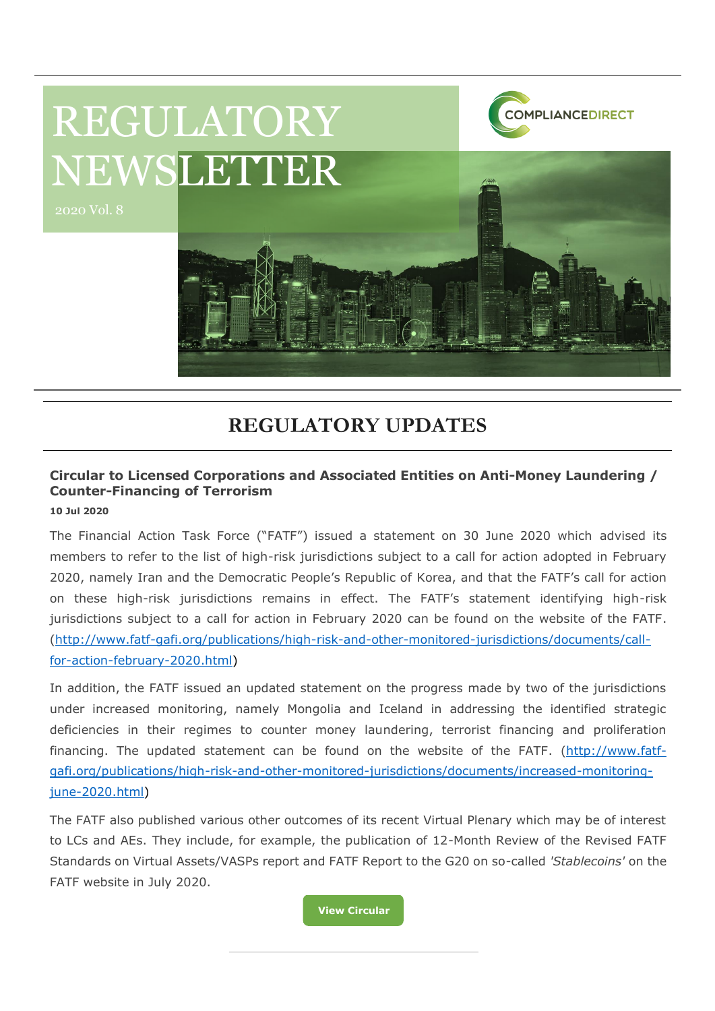

## **REGULATORY UPDATES**

## **Circular to Licensed Corporations and Associated Entities on Anti-Money Laundering / Counter-Financing of Terrorism**

**10 Jul 2020**

The Financial Action Task Force ("FATF") issued a statement on 30 June 2020 which advised its members to refer to the list of high-risk jurisdictions subject to a call for action adopted in February 2020, namely Iran and the Democratic People's Republic of Korea, and that the FATF's call for action on these high-risk jurisdictions remains in effect. The FATF's statement identifying high-risk jurisdictions subject to a call for action in February 2020 can be found on the website of the FATF. [\(http://www.fatf-gafi.org/publications/high-risk-and-other-monitored-jurisdictions/documents/call](http://www.fatf-gafi.org/publications/high-risk-and-other-monitored-jurisdictions/documents/call-for-action-february-2020.html)[for-action-february-2020.html\)](http://www.fatf-gafi.org/publications/high-risk-and-other-monitored-jurisdictions/documents/call-for-action-february-2020.html)

In addition, the FATF issued an updated statement on the progress made by two of the jurisdictions under increased monitoring, namely Mongolia and Iceland in addressing the identified strategic deficiencies in their regimes to counter money laundering, terrorist financing and proliferation financing. The updated statement can be found on the website of the FATF. [\(http://www.fatf](http://www.fatf-gafi.org/publications/high-risk-and-other-monitored-jurisdictions/documents/increased-monitoring-june-2020.html)[gafi.org/publications/high-risk-and-other-monitored-jurisdictions/documents/increased-monitoring](http://www.fatf-gafi.org/publications/high-risk-and-other-monitored-jurisdictions/documents/increased-monitoring-june-2020.html)[june-2020.html\)](http://www.fatf-gafi.org/publications/high-risk-and-other-monitored-jurisdictions/documents/increased-monitoring-june-2020.html)

The FATF also published various other outcomes of its recent Virtual Plenary which may be of interest to LCs and AEs. They include, for example, the publication of 12-Month Review of the Revised FATF Standards on Virtual Assets/VASPs report and FATF Report to the G20 on so-called *'Stablecoins'* on the FATF website in July 2020.

**[View Circular](https://www.sfc.hk/edistributionWeb/gateway/EN/circular/aml/doc?refNo=20EC49)**